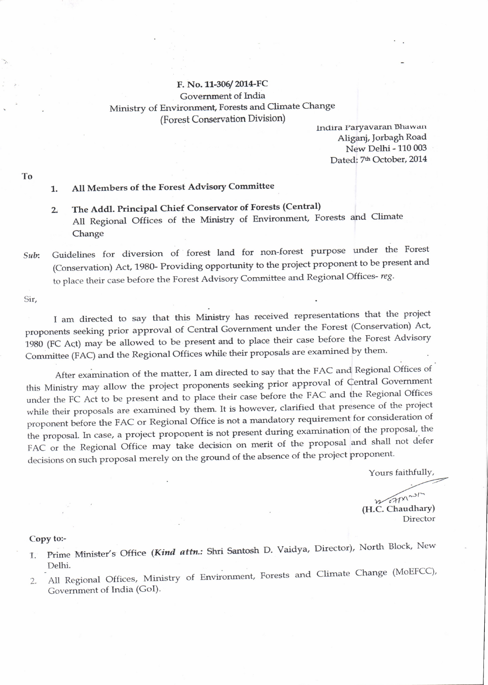## F. No. 11-306/2014-FC Government of India Ministry of Environment, Forests and Climate Change (Forest Conservation Division)

Indira Paryavaran Bhawan Aliganj, Jorbagh Road New Delhi - 110 003 Dated: 7<sup>th</sup> October, 2014

## 1. All Members of the Forest Advisory Conrmittee

- 2, The Addl. Principal chief consenrator of Forests (central) All Regional Offices of the Ministry of Environment, Forests and Climate Change
- Sub: Guidelines for diversion of forest land for non-forest purpose under the Forest (Conservation) Act, 1980- Providing opportunity to the project proponent to be present and to place their case before the Forest Advisory Committee and Regional Offices-reg.

sir'

I am directed. to say that this Ministry has received representations that the project proponents seeking prior approval of Central Government under the Forest (Conservation) Act, 1980 (FC Act) may be allowed to be present and to place their case before the Forest Advisory Committee (FAC) and the Regional Offices while their proposals are examined by them.

After examination of the matter, I am directed to say that the FAC and Regional Offices of this Ministry may allow the project proponents seeking prior approval of Central Government under the FC Act to be present and to place their case before the FAC and the Regional Offices while their proposals are examined by them. It is however, clarified that presence of the project proponent before the FAC or Regional Office is not a mandatory requirement for consideration of the proposal. In case, a project proponent is not present during examination of the proposal, the FAC or the Regional office may take decision on merit of the proposal and shall not defer decisions on such proposal merely on the ground of the absence of the project proponent.

Yours faithfullY,

Director  $W^{\text{c}}$ (H.C. Chaudhary)

## Copy to:-

- 1. Prime Minister's Office (Kind attn.: Shri Santosh D. Vaidya, Director), North Block, New Delhi.
- 2. All Regional Offices, Ministry of Environment, Forests and Climate Change (MoEFCC), Government of India (GoI).